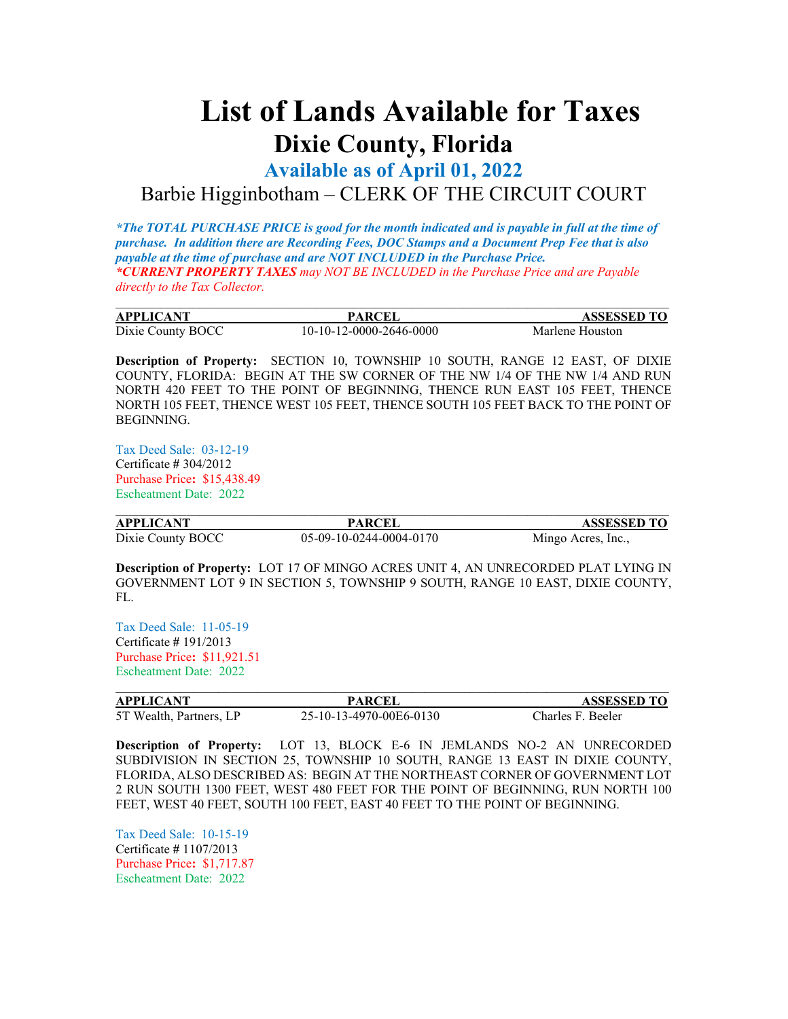## **List of Lands Available for Taxes Dixie County, Florida**

**Available as of April 01, 2022**

## Barbie Higginbotham – CLERK OF THE CIRCUIT COURT

*\*The TOTAL PURCHASE PRICE is good for the month indicated and is payable in full at the time of purchase. In addition there are Recording Fees, DOC Stamps and a Document Prep Fee that is also payable at the time of purchase and are NOT INCLUDED in the Purchase Price. \*CURRENT PROPERTY TAXES may NOT BE INCLUDED in the Purchase Price and are Payable directly to the Tax Collector.*

| <b>APPLICANT</b>  | PARCEI                  | <b>ASSESSED TO</b> |
|-------------------|-------------------------|--------------------|
| Dixie County BOCC | 10-10-12-0000-2646-0000 | Marlene Houston    |

**Description of Property:** SECTION 10, TOWNSHIP 10 SOUTH, RANGE 12 EAST, OF DIXIE COUNTY, FLORIDA: BEGIN AT THE SW CORNER OF THE NW 1/4 OF THE NW 1/4 AND RUN NORTH 420 FEET TO THE POINT OF BEGINNING, THENCE RUN EAST 105 FEET, THENCE NORTH 105 FEET, THENCE WEST 105 FEET, THENCE SOUTH 105 FEET BACK TO THE POINT OF BEGINNING.

Tax Deed Sale: 03-12-19 Certificate **#** 304/2012 Purchase Price**:** \$15,438.49 Escheatment Date: 2022

| <b>APPLICANT</b>  | <b>PARCEL</b>           | <b>ASSESSED TO</b> |
|-------------------|-------------------------|--------------------|
| Dixie County BOCC | 05-09-10-0244-0004-0170 | Mingo Acres, Inc., |

**Description of Property:** LOT 17 OF MINGO ACRES UNIT 4, AN UNRECORDED PLAT LYING IN GOVERNMENT LOT 9 IN SECTION 5, TOWNSHIP 9 SOUTH, RANGE 10 EAST, DIXIE COUNTY, FL.

Tax Deed Sale: 11-05-19 Certificate **#** 191/2013 Purchase Price**:** \$11,921.51 Escheatment Date: 2022

| <b>APPLICANT</b>        | <b>PARCEI</b>           | <b>ASSESSED TO</b> |
|-------------------------|-------------------------|--------------------|
| 5T Wealth, Partners, LP | 25-10-13-4970-00E6-0130 | Charles F. Beeler  |

**Description of Property:** LOT 13, BLOCK E-6 IN JEMLANDS NO-2 AN UNRECORDED SUBDIVISION IN SECTION 25, TOWNSHIP 10 SOUTH, RANGE 13 EAST IN DIXIE COUNTY, FLORIDA, ALSO DESCRIBED AS: BEGIN AT THE NORTHEAST CORNER OF GOVERNMENT LOT 2 RUN SOUTH 1300 FEET, WEST 480 FEET FOR THE POINT OF BEGINNING, RUN NORTH 100 FEET, WEST 40 FEET, SOUTH 100 FEET, EAST 40 FEET TO THE POINT OF BEGINNING.

Tax Deed Sale: 10-15-19 Certificate **#** 1107/2013 Purchase Price**:** \$1,717.87 Escheatment Date: 2022